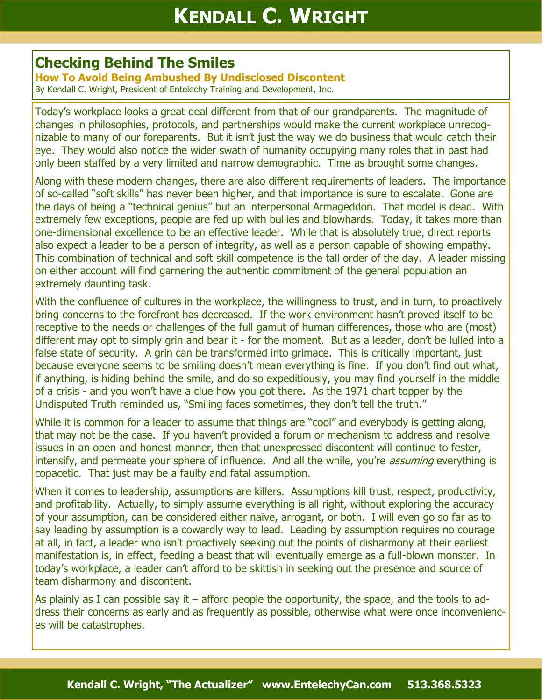## **Checking Behind The Smiles**

**How To Avoid Being Ambushed By Undisclosed Discontent** By Kendall C. Wright, President of Entelechy Training and Development, Inc.

Today's workplace looks a great deal different from that of our grandparents. The magnitude of changes in philosophies, protocols, and partnerships would make the current workplace unrecognizable to many of our foreparents. But it isn't just the way we do business that would catch their eye. They would also notice the wider swath of humanity occupying many roles that in past had only been staffed by a very limited and narrow demographic. Time as brought some changes.

Along with these modern changes, there are also different requirements of leaders. The importance of so-called "soft skills" has never been higher, and that importance is sure to escalate. Gone are the days of being a "technical genius" but an interpersonal Armageddon. That model is dead. With extremely few exceptions, people are fed up with bullies and blowhards. Today, it takes more than one-dimensional excellence to be an effective leader. While that is absolutely true, direct reports also expect a leader to be a person of integrity, as well as a person capable of showing empathy. This combination of technical and soft skill competence is the tall order of the day. A leader missing on either account will find garnering the authentic commitment of the general population an extremely daunting task.

With the confluence of cultures in the workplace, the willingness to trust, and in turn, to proactively bring concerns to the forefront has decreased. If the work environment hasn't proved itself to be receptive to the needs or challenges of the full gamut of human differences, those who are (most) different may opt to simply grin and bear it - for the moment. But as a leader, don't be lulled into a false state of security. A grin can be transformed into grimace. This is critically important, just because everyone seems to be smiling doesn't mean everything is fine. If you don't find out what, if anything, is hiding behind the smile, and do so expeditiously, you may find yourself in the middle of a crisis - and you won't have a clue how you got there. As the 1971 chart topper by the Undisputed Truth reminded us, "Smiling faces sometimes, they don't tell the truth."

While it is common for a leader to assume that things are "cool" and everybody is getting along, that may not be the case. If you haven't provided a forum or mechanism to address and resolve issues in an open and honest manner, then that unexpressed discontent will continue to fester, intensify, and permeate your sphere of influence. And all the while, you're *assuming* everything is copacetic. That just may be a faulty and fatal assumption.

When it comes to leadership, assumptions are killers. Assumptions kill trust, respect, productivity, and profitability. Actually, to simply assume everything is all right, without exploring the accuracy of your assumption, can be considered either naïve, arrogant, or both. I will even go so far as to say leading by assumption is a cowardly way to lead. Leading by assumption requires no courage at all, in fact, a leader who isn't proactively seeking out the points of disharmony at their earliest manifestation is, in effect, feeding a beast that will eventually emerge as a full-blown monster. In today's workplace, a leader can't afford to be skittish in seeking out the presence and source of team disharmony and discontent.

As plainly as I can possible say it – afford people the opportunity, the space, and the tools to address their concerns as early and as frequently as possible, otherwise what were once inconveniences will be catastrophes.